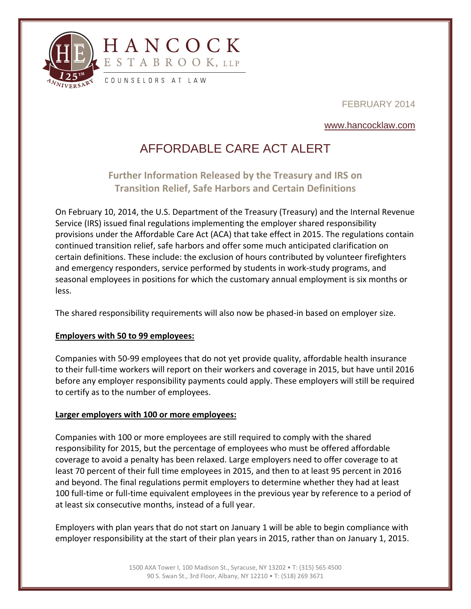

FEBRUARY 2014

### www.hancocklaw.com

# AFFORDABLE CARE ACT ALERT

## **Further Information Released by the Treasury and IRS on Transition Relief, Safe Harbors and Certain Definitions**

On February 10, 2014, the U.S. Department of the Treasury (Treasury) and the Internal Revenue Service (IRS) issued final regulations implementing the employer shared responsibility provisions under the Affordable Care Act (ACA) that take effect in 2015. The regulations contain continued transition relief, safe harbors and offer some much anticipated clarification on certain definitions. These include: the exclusion of hours contributed by volunteer firefighters and emergency responders, service performed by students in work‐study programs, and seasonal employees in positions for which the customary annual employment is six months or less.

The shared responsibility requirements will also now be phased-in based on employer size.

#### **Employers with 50 to 99 employees:**

l

Companies with 50‐99 employees that do not yet provide quality, affordable health insurance to their full‐time workers will report on their workers and coverage in 2015, but have until 2016 before any employer responsibility payments could apply. These employers will still be required to certify as to the number of employees.

#### **Larger employers with 100 or more employees:**

Companies with 100 or more employees are still required to comply with the shared responsibility for 2015, but the percentage of employees who must be offered affordable coverage to avoid a penalty has been relaxed. Large employers need to offer coverage to at least 70 percent of their full time employees in 2015, and then to at least 95 percent in 2016 and beyond. The final regulations permit employers to determine whether they had at least 100 full‐time or full‐time equivalent employees in the previous year by reference to a period of at least six consecutive months, instead of a full year.

Employers with plan years that do not start on January 1 will be able to begin compliance with employer responsibility at the start of their plan years in 2015, rather than on January 1, 2015.